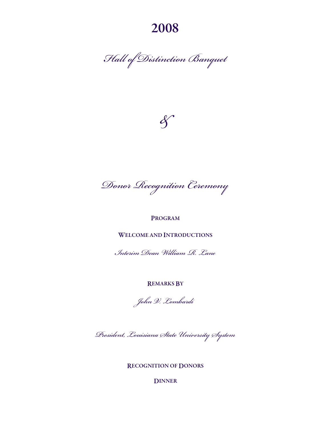2008

*Hall of Distinction Banquet* 



*Donor Recognition Ceremony* 

# PROGRAM

WELCOME AND INTRODUCTIONS

*Interim Dean William R. Lane* 

REMARKS BY

*John V. Lombardi* 

*President, Louisiana State University System* 

RECOGNITION OF DONORS

DINNER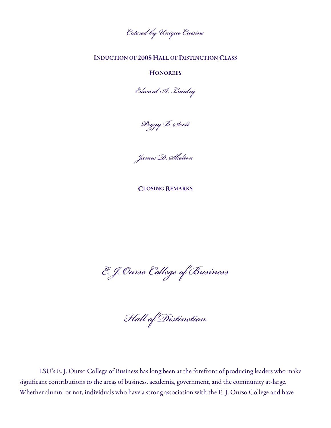*Catered by Unique Cuisine* 

# INDUCTION OF 2008 HALL OF DISTINCTION CLASS

### **HONOREES**

*Edward A. Landry* 

*Peggy B. Scott* 

*James D. Shelton* 

CLOSING REMARKS

*E. J. Ourso College of Business* 

*Hall of Distinction*

 LSU's E. J. Ourso College of Business has long been at the forefront of producing leaders who make significant contributions to the areas of business, academia, government, and the community at-large. Whether alumni or not, individuals who have a strong association with the E. J. Ourso College and have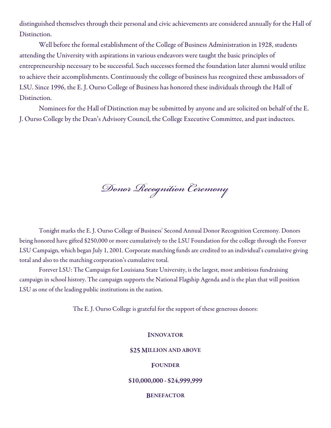distinguished themselves through their personal and civic achievements are considered annually for the Hall of Distinction.

 Well before the formal establishment of the College of Business Administration in 1928, students attending the University with aspirations in various endeavors were taught the basic principles of entrepreneurship necessary to be successful. Such successes formed the foundation later alumni would utilize to achieve their accomplishments. Continuously the college of business has recognized these ambassadors of LSU. Since 1996, the E. J. Ourso College of Business has honored these individuals through the Hall of Distinction.

 Nominees for the Hall of Distinction may be submitted by anyone and are solicited on behalf of the E. J. Ourso College by the Dean's Advisory Council, the College Executive Committee, and past inductees.

*Donor Recognition Ceremony*

 Tonight marks the E. J. Ourso College of Business' Second Annual Donor Recognition Ceremony. Donors being honored have gifted \$250,000 or more cumulatively to the LSU Foundation for the college through the Forever LSU Campaign, which began July 1, 2001. Corporate matching funds are credited to an individual's cumulative giving total and also to the matching corporation's cumulative total.

 Forever LSU: The Campaign for Louisiana State University, is the largest, most ambitious fundraising campaign in school history. The campaign supports the National Flagship Agenda and is the plan that will position LSU as one of the leading public institutions in the nation.

The E. J. Ourso College is grateful for the support of these generous donors:

### INNOVATOR

#### \$25 MILLION AND ABOVE

### FOUNDER

### \$10,000,000 - \$24,999,999

### **BENEFACTOR**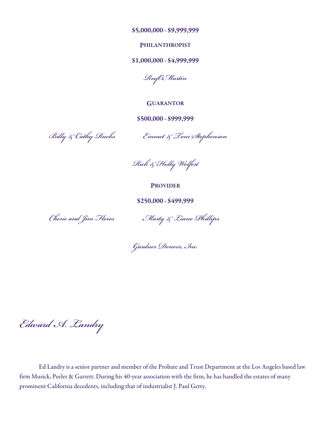\$5,000,000 - \$9,999,999

### PHILANTHROPIST

# \$1,000,000 - \$4,999,999

*RoyOMartin* 

**GUARANTOR** 

\$500,000 - \$999,999

 *Billy & Cathy Rucks Emmet & Toni Stephenson* 

*Rick & Holly Wolfert* 

PROVIDER

\$250,000 - \$499,999

*Cherie and Jim Flores Marty & Liane Phillips* 

*Gardner Denver, Inc.*

*Edward A. Landry* 

 Ed Landry is a senior partner and member of the Probate and Trust Department at the Los Angeles based law firm Musick, Peeler & Garrett. During his 40-year association with the firm, he has handled the estates of many prominent California decedents, including that of industrialist J. Paul Getty.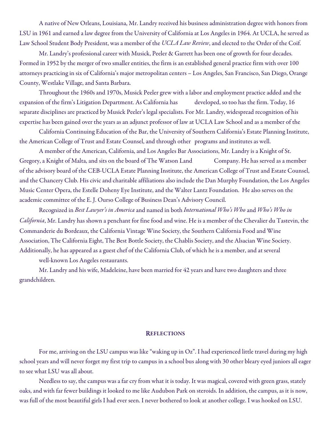A native of New Orleans, Louisiana, Mr. Landry received his business administration degree with honors from LSU in 1961 and earned a law degree from the University of California at Los Angeles in 1964. At UCLA, he served as Law School Student Body President, was a member of the UCLA Law Review, and elected to the Order of the Coif.

 Mr. Landry's professional career with Musick, Peeler & Garrett has been one of growth for four decades. Formed in 1952 by the merger of two smaller entities, the firm is an established general practice firm with over 100 attorneys practicing in six of California's major metropolitan centers – Los Angeles, San Francisco, San Diego, Orange County, Westlake Village, and Santa Barbara.

 Throughout the 1960s and 1970s, Musick Peeler grew with a labor and employment practice added and the expansion of the firm's Litigation Department. As California has developed, so too has the firm. Today, 16 separate disciplines are practiced by Musick Peeler's legal specialists. For Mr. Landry, widespread recognition of his expertise has been gained over the years as an adjunct professor of law at UCLA Law School and as a member of the

 California Continuing Education of the Bar, the University of Southern California's Estate Planning Institute, the American College of Trust and Estate Counsel, and through other programs and institutes as well.

 A member of the American, California, and Los Angeles Bar Associations, Mr. Landry is a Knight of St. Gregory, a Knight of Malta, and sits on the board of The Watson Land Company. He has served as a member of the advisory board of the CEB-UCLA Estate Planning Institute, the American College of Trust and Estate Counsel, and the Chancery Club. His civic and charitable affiliations also include the Dan Murphy Foundation, the Los Angeles Music Center Opera, the Estelle Doheny Eye Institute, and the Walter Lantz Foundation. He also serves on the academic committee of the E. J. Ourso College of Business Dean's Advisory Council.

 Recognized in Best Lawyer's in America and named in both International Who's Who and Who's Who in California, Mr. Landry has shown a penchant for fine food and wine. He is a member of the Chevalier du Tastevin, the Commanderie du Bordeaux, the California Vintage Wine Society, the Southern California Food and Wine Association, The California Eight, The Best Bottle Society, the Chablis Society, and the Alsacian Wine Society. Additionally, he has appeared as a guest chef of the California Club, of which he is a member, and at several

well-known Los Angeles restaurants.

 Mr. Landry and his wife, Madeleine, have been married for 42 years and have two daughters and three grandchildren.

### **REFLECTIONS**

 For me, arriving on the LSU campus was like "waking up in Oz". I had experienced little travel during my high school years and will never forget my first trip to campus in a school bus along with 30 other bleary eyed juniors all eager to see what LSU was all about.

 Needless to say, the campus was a far cry from what it is today. It was magical, covered with green grass, stately oaks, and with far fewer buildings it looked to me like Audubon Park on steroids. In addition, the campus, as it is now, was full of the most beautiful girls I had ever seen. I never bothered to look at another college. I was hooked on LSU.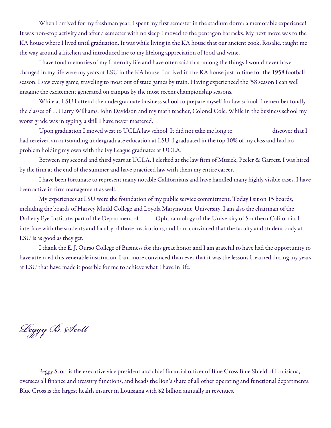When I arrived for my freshman year, I spent my first semester in the stadium dorm: a memorable experience! It was non-stop activity and after a semester with no sleep I moved to the pentagon barracks. My next move was to the KA house where I lived until graduation. It was while living in the KA house that our ancient cook, Rosalie, taught me the way around a kitchen and introduced me to my lifelong appreciation of food and wine.

 I have fond memories of my fraternity life and have often said that among the things I would never have changed in my life were my years at LSU in the KA house. I arrived in the KA house just in time for the 1958 football season. I saw every game, traveling to most out of state games by train. Having experienced the '58 season I can well imagine the excitement generated on campus by the most recent championship seasons.

 While at LSU I attend the undergraduate business school to prepare myself for law school. I remember fondly the classes of T. Harry Williams, John Davidson and my math teacher, Colonel Cole. While in the business school my worst grade was in typing, a skill I have never mastered.

Upon graduation I moved west to UCLA law school. It did not take me long to discover that I had received an outstanding undergraduate education at LSU. I graduated in the top 10% of my class and had no problem holding my own with the Ivy League graduates at UCLA.

 Between my second and third years at UCLA, I clerked at the law firm of Musick, Peeler & Garrett. I was hired by the firm at the end of the summer and have practiced law with them my entire career.

 I have been fortunate to represent many notable Californians and have handled many highly visible cases. I have been active in firm management as well.

 My experiences at LSU were the foundation of my public service commitment. Today I sit on 15 boards, including the boards of Harvey Mudd College and Loyola Marymount University. I am also the chairman of the Doheny Eye Institute, part of the Department of Ophthalmology of the University of Southern California. I interface with the students and faculty of those institutions, and I am convinced that the faculty and student body at LSU is as good as they get.

 I thank the E. J. Ourso College of Business for this great honor and I am grateful to have had the opportunity to have attended this venerable institution. I am more convinced than ever that it was the lessons I learned during my years at LSU that have made it possible for me to achieve what I have in life.

*Peggy B. Scott* 

 Peggy Scott is the executive vice president and chief financial officer of Blue Cross Blue Shield of Louisiana, oversees all finance and treasury functions, and heads the lion's share of all other operating and functional departments. Blue Cross is the largest health insurer in Louisiana with \$2 billion annually in revenues.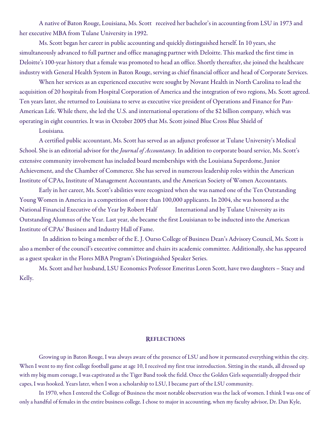A native of Baton Rouge, Louisiana, Ms. Scott received her bachelor's in accounting from LSU in 1973 and her executive MBA from Tulane University in 1992.

 Ms. Scott began her career in public accounting and quickly distinguished herself. In 10 years, she simultaneously advanced to full partner and office managing partner with Deloitte. This marked the first time in Deloitte's 100-year history that a female was promoted to head an office. Shortly thereafter, she joined the healthcare industry with General Health System in Baton Rouge, serving as chief financial officer and head of Corporate Services.

 When her services as an experienced executive were sought by Novant Health in North Carolina to lead the acquisition of 20 hospitals from Hospital Corporation of America and the integration of two regions, Ms. Scott agreed. Ten years later, she returned to Louisiana to serve as executive vice president of Operations and Finance for Pan-American Life. While there, she led the U.S. and international operations of the \$2 billion company, which was operating in eight countries. It was in October 2005 that Ms. Scott joined Blue Cross Blue Shield of

Louisiana.

 A certified public accountant, Ms. Scott has served as an adjunct professor at Tulane University's Medical School. She is an editorial advisor for the Journal of Accountancy. In addition to corporate board service, Ms. Scott's extensive community involvement has included board memberships with the Louisiana Superdome, Junior Achievement, and the Chamber of Commerce. She has served in numerous leadership roles within the American Institute of CPAs, Institute of Management Accountants, and the American Society of Women Accountants.

 Early in her career, Ms. Scott's abilities were recognized when she was named one of the Ten Outstanding Young Women in America in a competition of more than 100,000 applicants. In 2004, she was honored as the National Financial Executive of the Year by Robert Half International and by Tulane University as its Outstanding Alumnus of the Year. Last year, she became the first Louisianan to be inducted into the American Institute of CPAs' Business and Industry Hall of Fame.

 In addition to being a member of the E. J. Ourso College of Business Dean's Advisory Council, Ms. Scott is also a member of the council's executive committee and chairs its academic committee. Additionally, she has appeared as a guest speaker in the Flores MBA Program's Distinguished Speaker Series.

 Ms. Scott and her husband, LSU Economics Professor Emeritus Loren Scott, have two daughters – Stacy and Kelly.

### **REFLECTIONS**

Growing up in Baton Rouge, I was always aware of the presence of LSU and how it permeated everything within the city. When I went to my first college football game at age 10, I received my first true introduction. Sitting in the stands, all dressed up with my big mum corsage, I was captivated as the Tiger Band took the field. Once the Golden Girls sequentially dropped their capes, I was hooked. Years later, when I won a scholarship to LSU, I became part of the LSU community.

 In 1970, when I entered the College of Business the most notable observation was the lack of women. I think I was one of only a handful of females in the entire business college. I chose to major in accounting, when my faculty advisor, Dr. Dan Kyle,